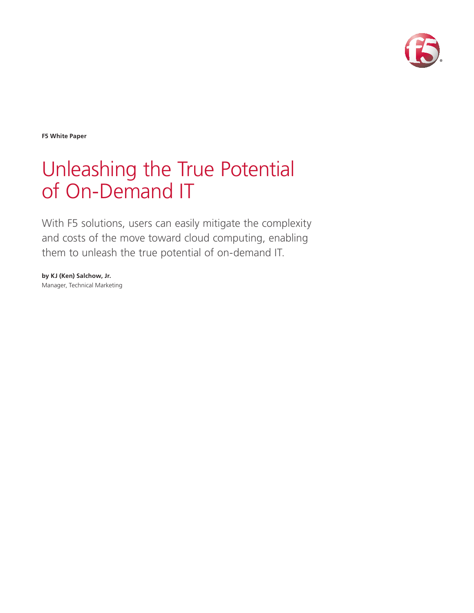

**F5 White Paper**

# Unleashing the True Potential of On-Demand IT

With F5 solutions, users can easily mitigate the complexity and costs of the move toward cloud computing, enabling them to unleash the true potential of on-demand IT.

**by KJ (Ken) Salchow, Jr.** Manager, Technical Marketing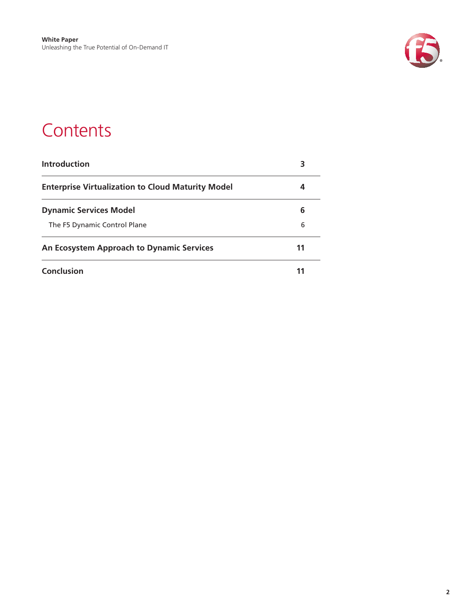

### **Contents**

| <b>Introduction</b>                                      | 3 |
|----------------------------------------------------------|---|
| <b>Enterprise Virtualization to Cloud Maturity Model</b> | 4 |
| <b>Dynamic Services Model</b>                            | 6 |
| The F5 Dynamic Control Plane                             | 6 |
| An Ecosystem Approach to Dynamic Services                |   |
| <b>Conclusion</b>                                        |   |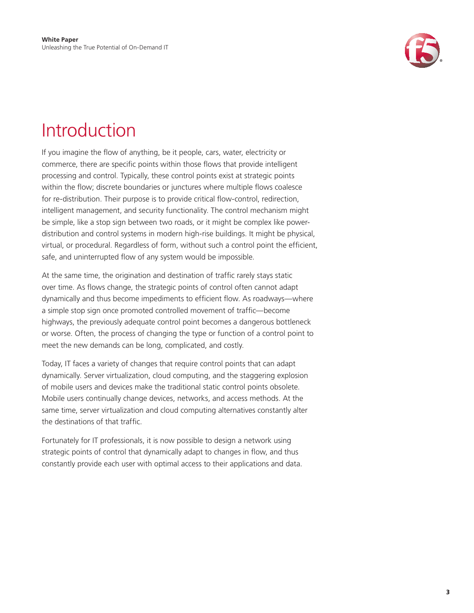

### Introduction

If you imagine the flow of anything, be it people, cars, water, electricity or commerce, there are specific points within those flows that provide intelligent processing and control. Typically, these control points exist at strategic points within the flow; discrete boundaries or junctures where multiple flows coalesce for re-distribution. Their purpose is to provide critical flow-control, redirection, intelligent management, and security functionality. The control mechanism might be simple, like a stop sign between two roads, or it might be complex like powerdistribution and control systems in modern high-rise buildings. It might be physical, virtual, or procedural. Regardless of form, without such a control point the efficient, safe, and uninterrupted flow of any system would be impossible.

At the same time, the origination and destination of traffic rarely stays static over time. As flows change, the strategic points of control often cannot adapt dynamically and thus become impediments to efficient flow. As roadways—where a simple stop sign once promoted controlled movement of traffic—become highways, the previously adequate control point becomes a dangerous bottleneck or worse. Often, the process of changing the type or function of a control point to meet the new demands can be long, complicated, and costly.

Today, IT faces a variety of changes that require control points that can adapt dynamically. Server virtualization, cloud computing, and the staggering explosion of mobile users and devices make the traditional static control points obsolete. Mobile users continually change devices, networks, and access methods. At the same time, server virtualization and cloud computing alternatives constantly alter the destinations of that traffic.

Fortunately for IT professionals, it is now possible to design a network using strategic points of control that dynamically adapt to changes in flow, and thus constantly provide each user with optimal access to their applications and data.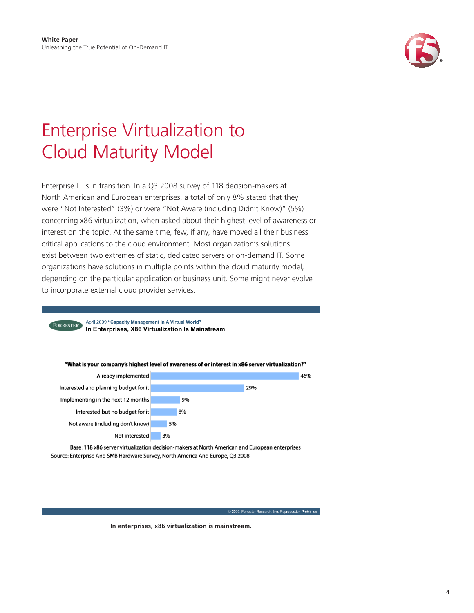

## <span id="page-3-0"></span>Enterprise Virtualization to Cloud Maturity Model

Enterprise IT is in transition. In a Q3 2008 survey of 118 decision-makers at North American and European enterprises, a total of only 8% stated that they were "Not Interested" (3%) or were "Not Aware (including Didn't Know)" (5%) concerning x86 virtualization, when asked about their highest level of awareness or interest on the topic<sup>i</sup>. At the same time, few, if any, have moved all their business critical applications to the cloud environment. Most organization's solutions exist between two extremes of static, dedicated servers or on-demand IT. Some organizations have solutions in multiple points within the cloud maturity model, depending on the particular application or business unit. Some might never evolve to incorporate external cloud provider services.



© 2009, Forrester Research, Inc. Reproduction Prohibited

**In enterprises, x86 virtualization is mainstream.**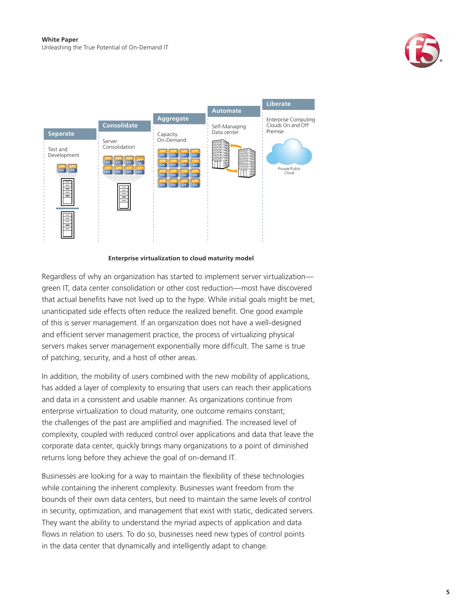



#### **Enterprise virtualization to cloud maturity model**

Regardless of why an organization has started to implement server virtualization green IT, data center consolidation or other cost reduction—most have discovered that actual benefits have not lived up to the hype. While initial goals might be met, unanticipated side effects often reduce the realized benefit. One good example of this is server management. If an organization does not have a well-designed and efficient server management practice, the process of virtualizing physical servers makes server management exponentially more difficult. The same is true of patching, security, and a host of other areas.

In addition, the mobility of users combined with the new mobility of applications, has added a layer of complexity to ensuring that users can reach their applications and data in a consistent and usable manner. As organizations continue from enterprise virtualization to cloud maturity, one outcome remains constant; the challenges of the past are amplified and magnified. The increased level of complexity, coupled with reduced control over applications and data that leave the corporate data center, quickly brings many organizations to a point of diminished returns long before they achieve the goal of on-demand IT.

Businesses are looking for a way to maintain the flexibility of these technologies while containing the inherent complexity. Businesses want freedom from the bounds of their own data centers, but need to maintain the same levels of control in security, optimization, and management that exist with static, dedicated servers. They want the ability to understand the myriad aspects of application and data flows in relation to users. To do so, businesses need new types of control points in the data center that dynamically and intelligently adapt to change.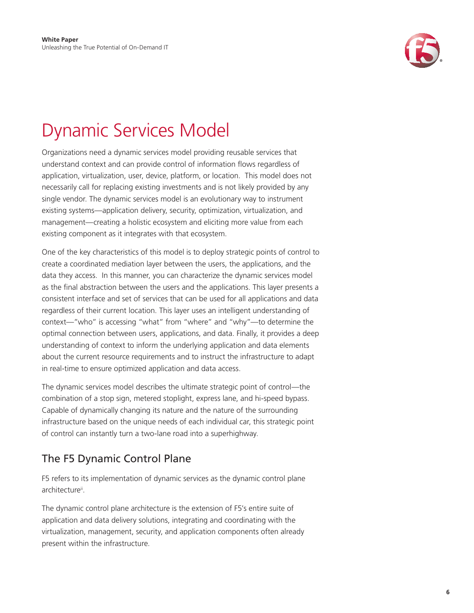

# <span id="page-5-0"></span>Dynamic Services Model

Organizations need a dynamic services model providing reusable services that understand context and can provide control of information flows regardless of application, virtualization, user, device, platform, or location. This model does not necessarily call for replacing existing investments and is not likely provided by any single vendor. The dynamic services model is an evolutionary way to instrument existing systems—application delivery, security, optimization, virtualization, and management—creating a holistic ecosystem and eliciting more value from each existing component as it integrates with that ecosystem.

One of the key characteristics of this model is to deploy strategic points of control to create a coordinated mediation layer between the users, the applications, and the data they access. In this manner, you can characterize the dynamic services model as the final abstraction between the users and the applications. This layer presents a consistent interface and set of services that can be used for all applications and data regardless of their current location. This layer uses an intelligent understanding of context—"who" is accessing "what" from "where" and "why"—to determine the optimal connection between users, applications, and data. Finally, it provides a deep understanding of context to inform the underlying application and data elements about the current resource requirements and to instruct the infrastructure to adapt in real-time to ensure optimized application and data access.

The dynamic services model describes the ultimate strategic point of control—the combination of a stop sign, metered stoplight, express lane, and hi-speed bypass. Capable of dynamically changing its nature and the nature of the surrounding infrastructure based on the unique needs of each individual car, this strategic point of control can instantly turn a two-lane road into a superhighway.

### The F5 Dynamic Control Plane

F5 refers to its implementation of dynamic services as the dynamic control plane architecture<sup>ii</sup>.

The dynamic control plane architecture is the extension of F5's entire suite of application and data delivery solutions, integrating and coordinating with the virtualization, management, security, and application components often already present within the infrastructure.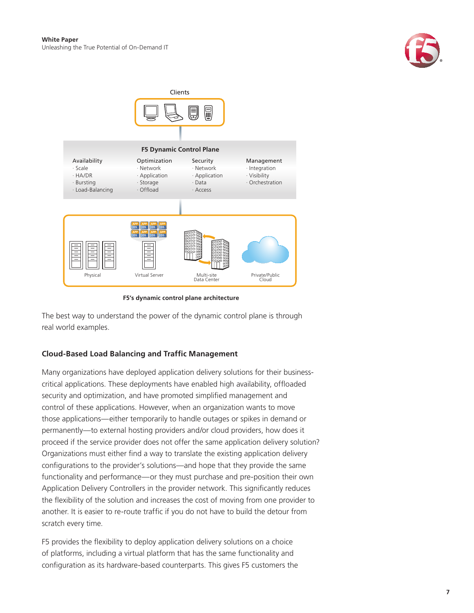



**F5's dynamic control plane architecture**

The best way to understand the power of the dynamic control plane is through real world examples.

### **Cloud-Based Load Balancing and Traffic Management**

Many organizations have deployed application delivery solutions for their businesscritical applications. These deployments have enabled high availability, offloaded security and optimization, and have promoted simplified management and control of these applications. However, when an organization wants to move those applications—either temporarily to handle outages or spikes in demand or permanently—to external hosting providers and/or cloud providers, how does it proceed if the service provider does not offer the same application delivery solution? Organizations must either find a way to translate the existing application delivery configurations to the provider's solutions—and hope that they provide the same functionality and performance—or they must purchase and pre-position their own Application Delivery Controllers in the provider network. This significantly reduces the flexibility of the solution and increases the cost of moving from one provider to another. It is easier to re-route traffic if you do not have to build the detour from scratch every time.

F5 provides the flexibility to deploy application delivery solutions on a choice of platforms, including a virtual platform that has the same functionality and configuration as its hardware-based counterparts. This gives F5 customers the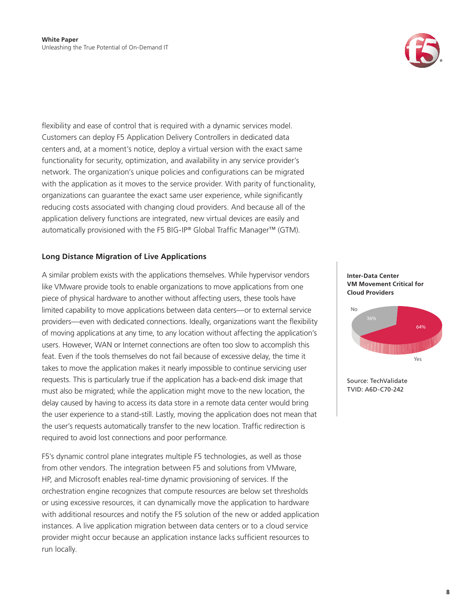

flexibility and ease of control that is required with a dynamic services model. Customers can deploy F5 Application Delivery Controllers in dedicated data centers and, at a moment's notice, deploy a virtual version with the exact same functionality for security, optimization, and availability in any service provider's network. The organization's unique policies and configurations can be migrated with the application as it moves to the service provider. With parity of functionality, organizations can guarantee the exact same user experience, while significantly reducing costs associated with changing cloud providers. And because all of the application delivery functions are integrated, new virtual devices are easily and automatically provisioned with the F5 BIG-IP® Global Traffic Manager™ (GTM).

#### **Long Distance Migration of Live Applications**

A similar problem exists with the applications themselves. While hypervisor vendors like VMware provide tools to enable organizations to move applications from one piece of physical hardware to another without affecting users, these tools have limited capability to move applications between data centers—or to external service providers—even with dedicated connections. Ideally, organizations want the flexibility of moving applications at any time, to any location without affecting the application's users. However, WAN or Internet connections are often too slow to accomplish this feat. Even if the tools themselves do not fail because of excessive delay, the time it takes to move the application makes it nearly impossible to continue servicing user requests. This is particularly true if the application has a back-end disk image that must also be migrated; while the application might move to the new location, the delay caused by having to access its data store in a remote data center would bring the user experience to a stand-still. Lastly, moving the application does not mean that the user's requests automatically transfer to the new location. Traffic redirection is required to avoid lost connections and poor performance.

F5's dynamic control plane integrates multiple F5 technologies, as well as those from other vendors. The integration between F5 and solutions from VMware, HP, and Microsoft enables real-time dynamic provisioning of services. If the orchestration engine recognizes that compute resources are below set thresholds or using excessive resources, it can dynamically move the application to hardware with additional resources and notify the F5 solution of the new or added application instances. A live application migration between data centers or to a cloud service provider might occur because an application instance lacks sufficient resources to run locally.





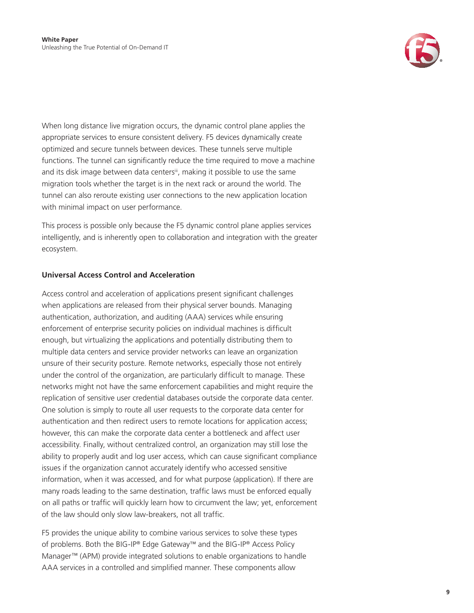

When long distance live migration occurs, the dynamic control plane applies the appropriate services to ensure consistent delivery. F5 devices dynamically create optimized and secure tunnels between devices. These tunnels serve multiple functions. The tunnel can significantly reduce the time required to move a machine and its disk image between data centers<sup>iii</sup>, making it possible to use the same migration tools whether the target is in the next rack or around the world. The tunnel can also reroute existing user connections to the new application location with minimal impact on user performance.

This process is possible only because the F5 dynamic control plane applies services intelligently, and is inherently open to collaboration and integration with the greater ecosystem.

### **Universal Access Control and Acceleration**

Access control and acceleration of applications present significant challenges when applications are released from their physical server bounds. Managing authentication, authorization, and auditing (AAA) services while ensuring enforcement of enterprise security policies on individual machines is difficult enough, but virtualizing the applications and potentially distributing them to multiple data centers and service provider networks can leave an organization unsure of their security posture. Remote networks, especially those not entirely under the control of the organization, are particularly difficult to manage. These networks might not have the same enforcement capabilities and might require the replication of sensitive user credential databases outside the corporate data center. One solution is simply to route all user requests to the corporate data center for authentication and then redirect users to remote locations for application access; however, this can make the corporate data center a bottleneck and affect user accessibility. Finally, without centralized control, an organization may still lose the ability to properly audit and log user access, which can cause significant compliance issues if the organization cannot accurately identify who accessed sensitive information, when it was accessed, and for what purpose (application). If there are many roads leading to the same destination, traffic laws must be enforced equally on all paths or traffic will quickly learn how to circumvent the law; yet, enforcement of the law should only slow law-breakers, not all traffic.

F5 provides the unique ability to combine various services to solve these types of problems. Both the BIG-IP® Edge Gateway™ and the BIG-IP® Access Policy Manager™ (APM) provide integrated solutions to enable organizations to handle AAA services in a controlled and simplified manner. These components allow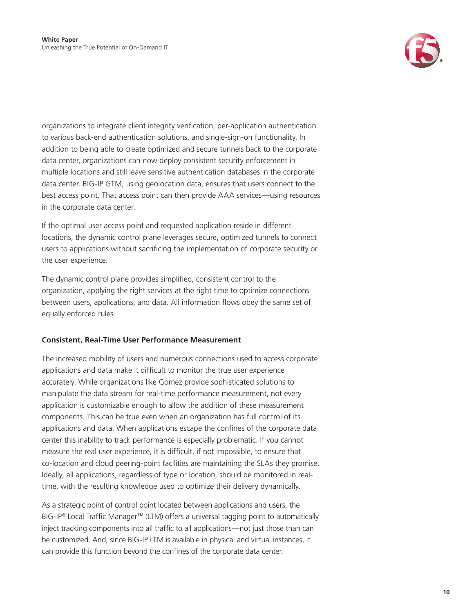

organizations to integrate client integrity verification, per-application authentication to various back-end authentication solutions, and single-sign-on functionality. In addition to being able to create optimized and secure tunnels back to the corporate data center, organizations can now deploy consistent security enforcement in multiple locations and still leave sensitive authentication databases in the corporate data center. BIG-IP GTM, using geolocation data, ensures that users connect to the best access point. That access point can then provide AAA services—using resources in the corporate data center.

If the optimal user access point and requested application reside in different locations, the dynamic control plane leverages secure, optimized tunnels to connect users to applications without sacrificing the implementation of corporate security or the user experience.

The dynamic control plane provides simplified, consistent control to the organization, applying the right services at the right time to optimize connections between users, applications, and data. All information flows obey the same set of equally enforced rules.

### **Consistent, Real-Time User Performance Measurement**

The increased mobility of users and numerous connections used to access corporate applications and data make it difficult to monitor the true user experience accurately. While organizations like Gomez provide sophisticated solutions to manipulate the data stream for real-time performance measurement, not every application is customizable enough to allow the addition of these measurement components. This can be true even when an organization has full control of its applications and data. When applications escape the confines of the corporate data center this inability to track performance is especially problematic. If you cannot measure the real user experience, it is difficult, if not impossible, to ensure that co-location and cloud peering-point facilities are maintaining the SLAs they promise. Ideally, all applications, regardless of type or location, should be monitored in realtime, with the resulting knowledge used to optimize their delivery dynamically.

As a strategic point of control point located between applications and users, the BIG-IP® Local Traffic Manager™ (LTM) offers a universal tagging point to automatically inject tracking components into all traffic to all applications—not just those than can be customized. And, since BIG-IP LTM is available in physical and virtual instances, it can provide this function beyond the confines of the corporate data center.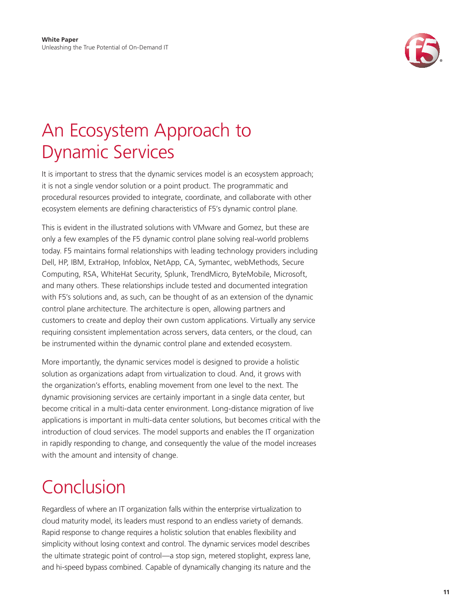

### <span id="page-10-0"></span>An Ecosystem Approach to Dynamic Services

It is important to stress that the dynamic services model is an ecosystem approach; it is not a single vendor solution or a point product. The programmatic and procedural resources provided to integrate, coordinate, and collaborate with other ecosystem elements are defining characteristics of F5's dynamic control plane.

This is evident in the illustrated solutions with VMware and Gomez, but these are only a few examples of the F5 dynamic control plane solving real-world problems today. F5 maintains formal relationships with leading technology providers including Dell, HP, IBM, ExtraHop, Infoblox, NetApp, CA, Symantec, webMethods, Secure Computing, RSA, WhiteHat Security, Splunk, TrendMicro, ByteMobile, Microsoft, and many others. These relationships include tested and documented integration with F5's solutions and, as such, can be thought of as an extension of the dynamic control plane architecture. The architecture is open, allowing partners and customers to create and deploy their own custom applications. Virtually any service requiring consistent implementation across servers, data centers, or the cloud, can be instrumented within the dynamic control plane and extended ecosystem.

More importantly, the dynamic services model is designed to provide a holistic solution as organizations adapt from virtualization to cloud. And, it grows with the organization's efforts, enabling movement from one level to the next. The dynamic provisioning services are certainly important in a single data center, but become critical in a multi-data center environment. Long-distance migration of live applications is important in multi-data center solutions, but becomes critical with the introduction of cloud services. The model supports and enables the IT organization in rapidly responding to change, and consequently the value of the model increases with the amount and intensity of change.

# Conclusion

Regardless of where an IT organization falls within the enterprise virtualization to cloud maturity model, its leaders must respond to an endless variety of demands. Rapid response to change requires a holistic solution that enables flexibility and simplicity without losing context and control. The dynamic services model describes the ultimate strategic point of control—a stop sign, metered stoplight, express lane, and hi-speed bypass combined. Capable of dynamically changing its nature and the